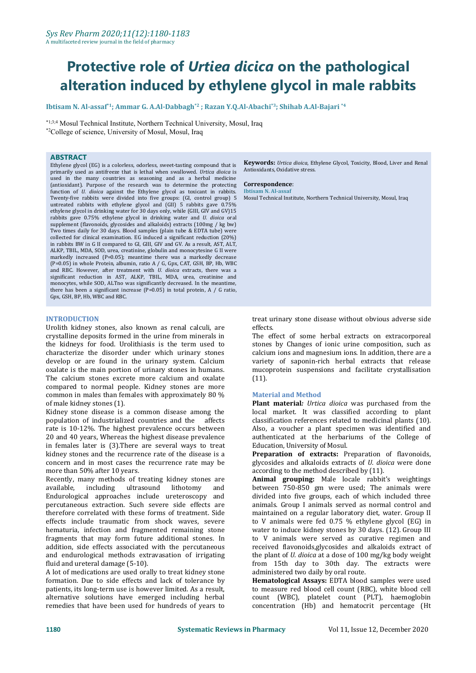# **Protective role of** *Urtiea dicica* **on the pathological alteration induced by ethylene glycol in male rabbits**

**Ibtisam N. Al-assaf \*1 ; Ammar G. A.Al-Dabbagh \*2 ; Razan Y.Q.Al-Abachi \*3 ; Shihab A.Al-Bajari \*4**

\*1;3;4 Mosul Technical Institute, Northern Technical University, Mosul, Iraq \*2College of science, University of Mosul, Mosul, Iraq

#### **ABSTRACT**

Ethylene glycol (EG) is a colorless, odorless, sweet-tasting compound that is primarily used as antifreeze that is lethal when swallowed. *Urtica dioica* is used in the many countries as seasoning and as a herbal medicine (antioxidant). Purpose of the research was to determine the protecting **Correspondence**<br>function of *II* digital against the Ethylene glycol as toxicant in rabbits **Ibisam M ALassat** function of *U. dioica* against the Ethylene glycol as toxicant in rabbits. Twenty-five rabbits were divided into five groups: (GI, control group) 5 untreated rabbits with ethylene glycol and (GII) 5 rabbits gave 0.75% ethylene glycol in drinking water for 30 days only, while (GIII, GIV and GV)15 rabbits gave 0.75% ethylene glycol in drinking water and *U. dioica* oral supplement (flavonoids, glycosides and alkaloids) extracts (100mg / kg bw) Two times daily for 30 days.Blood samples (plain tube & EDTA tube) were collected for clinical examination. EG induced a significant reduction (20%) in rabbits BW in G II compared to GI, GIII, GIV and GV. As a result, AST, ALT, ALKP, TBIL, MDA, SOD, urea, creatinine, globulin and monocytesine G II were markedly increased (P=0.05); meantime there was a markedly decrease (P=0.05) in whole Protein, albumin, ratio A / G, Gpx, CAT, GSH, BP, Hb, WBC and RBC. However, after treatment with *U. dioica* extracts, there was a significant reduction in AST, ALKP, TBIL, MDA, urea, creatinine and monocytes, while SOD, ALTno was significantly decreased. In the meantime, there has been a significant increase (P=0.05) in total protein, A / G ratio, Gpx, GSH, BP, Hb, WBC and RBC.

#### **INTRODUCTION**

Urolith kidney stones, also known as renal calculi, are crystalline deposits formed in the urine from minerals in the kidneys for food. Urolithiasis is the term used to characterize the disorder under which urinary stones develop or are found in the urinary system. Calcium oxalate is the main portion of urinary stones in humans. The calcium stones excrete more calcium and oxalate compared to normal people. Kidney stones are more common in males than females with approximately 80 % of male kidney stones (1).

Kidney stone disease is a common disease among the population of industrialized countries and the affects rate is 10-12%. The highest prevalence occurs between 20 and 40 years, Whereas the highest disease prevalence authenticated at the herbar in females later is (3). There are several ways to treat Education, University of Mosul. in females later is (3).There are several ways to treat kidney stones and the recurrence rate of the disease is a concern and in most cases the recurrence rate may be glycosides and alkaloids extracts of *U. dio* according to the method described by (11). more than 50% after 10 years.

Recently, many methods of treating kidney stones are<br>available, including ultrasound lithotomy and available, including ultrasound lithotomy and Endurological approaches include ureteroscopy and percutaneous extraction. Such severe side effects are therefore correlated with these forms of treatment. Side effects include traumatic from shock waves, severe hematuria, infection and fragmented remaining stone fragments that may form future additional stones. In addition, side effects associated with the percutaneous and endurological methods extravasation of irrigating fluid and ureteral damage (5-10).

A lot of medications are used orally to treat kidney stone formation. Due to side effects and lack of tolerance by patients, its long-term use is however limited. As a result, alternative solutions have emerged including herbal remedies that have been used for hundreds of years to

**Keywords:** *Urtica dioica*, Ethylene Glycol, Toxicity, Blood, Liver and Renal Antioxidants, Oxidative stress.

### $Correspondence:$

Mosul Technical Institute, Northern Technical University, Mosul, Iraq

treat urinary stone disease without obvious adverse side effects.

The effect of some herbal extracts on extracorporeal stones by Changes of ionic urine composition, such as calcium ions and magnesium ions. In addition, there are a variety of saponin-rich herbal extracts that release mucoprotein suspensions and facilitate crystallisation (11).

#### **Material and Method**

**Plant material***: Urtica dioica* was purchased from the local market. It was classified according to plant classification references related to medicinal plants (10). Also, a voucher a plant specimen was identified and authenticated at the herbariums of the College of

Preparation of extracts: Preparation of flavonoids, glycosides and alkaloids extracts of *U. dioica* were done

Animal grouping: Male locale rabbit's weightings between 750-850 gm were used; The animals were divided into five groups, each of which included three animals. Group I animals served as normal control and maintained on a regular laboratory diet, water. Group II to V animals were fed  $0.75 \%$  ethylene glycol (EG) in water to induce kidney stones by 30 days. (12). Group III to V animals were served as curative regimen and received flavonoids,glycosides and alkaloids extract of the plant of *U. dioica* at a dose of 100 mg/kg body weight from 15th day to 30th day. The extracts were

Hematological Assays: EDTA blood samples were used to measure red blood cell count (RBC), white blood cell count (WBC), platelet count (PLT), haemoglobin concentration (Hb) and hematocrit percentage (Ht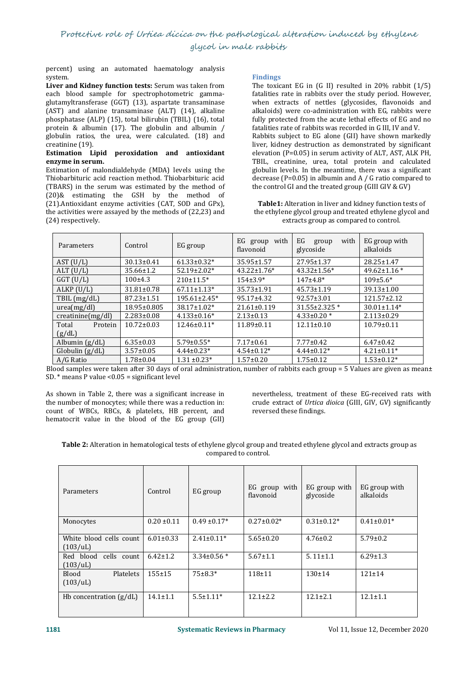## Protective role of Urtiea dicica on the pathological alteration induced by ethylene glycol in male rabbits

percent) using an automated haematology analysis

**Liver and Kidney function tests:** Serum was taken from each blood sample for spectrophotometric gamma glutamyltransferase (GGT) (13), aspartate transaminase (AST) and alanine transaminase (ALT) (14), alkaline phosphatase (ALP) (15), total bilirubin (TBIL) (16), total protein & albumin (17). The globulin and albumin / globulin ratios, the urea, were calculated. (18) and creatinine (19).

#### creatinine (19). **Estimation Lipid peroxidation and antioxidant enzyme in serum.**

Estimation of malondialdehyde (MDA) levels using the Thiobarbituric acid reaction method. Thiobarbituric acid (TBARS) in the serum was estimated by the method of (20)& estimating the GSH by the method of (21).Antioxidant enzyme activities (CAT, SOD andGPx), the activities were assayed by the methods of (22,23) and (24) respectively.

#### **Findings**

The toxicant EG in (G II) resulted in 20% rabbit (1/5) fatalities rate in rabbits over the study period. However, when extracts of nettles (glycosides, flavonoids and alkaloids) were co-administration with EG, rabbits were fully protected from the acute lethal effects of EG and no fatalities rate of rabbits was recorded in G III, IV and V. Rabbits subject to EG alone (GII) have shown markedly liver, kidney destruction as demonstrated by significant elevation  $(P=0.05)$  in serum activity of ALT, AST, ALK PH, TBIL, creatinine, urea, total protein and calculated globulin levels. In the meantime, there was a significant decrease (P=0.05) in albumin and A  $/$  G ratio compared to the control GI and the treated group (GIII GIV & GV)

**Table1:** Alteration in liver and kidney function tests of the ethylene glycol group and treated ethylene glycol and extracts group as compared to control.

| Parameters              | Control          | EG group            | EG group<br>with<br>flavonoid | EG<br>with<br>group<br>glycoside | EG group with<br>alkaloids |
|-------------------------|------------------|---------------------|-------------------------------|----------------------------------|----------------------------|
| AST (U/L)               | $30.13 \pm 0.41$ | $61.33 \pm 0.32*$   | 35.95±1.57                    | 27.95±1.37                       | 28.25±1.47                 |
| $ALT$ (U/L)             | $35.66 \pm 1.2$  | $52.19 \pm 2.02*$   | $43.22 \pm 1.76*$             | $43.32 \pm 1.56^*$               | $49.62 \pm 1.16$ *         |
| $GGT$ (U/L)             | 100±4.3          | $210±11.5*$         | $154\pm3.9*$                  | $147+4.8*$                       | $109 \pm 5.6*$             |
| ALKP (U/L)              | $31.81 \pm 0.78$ | $67.11 \pm 1.13*$   | $35.73 \pm 1.91$              | $45.73 \pm 1.19$                 | $39.13 \pm 1.00$           |
| $TBIL$ (mg/dL)          | $87.23 \pm 1.51$ | $195.61 \pm 2.45^*$ | $95.17 \pm 4.32$              | $92.57 \pm 3.01$                 | 121.57±2.12                |
| urea(mg/dl)             | 18.95±0.805      | 38.17±1.02*         | $21.61 \pm 0.119$             | 31.55±2.325 *                    | $30.01 \pm 1.14*$          |
| $c$ reatinine $(mg/dl)$ | $2.283 \pm 0.08$ | $4.133 \pm 0.16^*$  | $2.13 \pm 0.13$               | $4.33 \pm 0.20$ *                | $2.113 \pm 0.29$           |
| Total<br>Protein        | $10.72 \pm 0.03$ | $12.46 \pm 0.11*$   | $11.89 \pm 0.11$              | $12.11 \pm 0.10$                 | $10.79 \pm 0.11$           |
| (g/dL)                  |                  |                     |                               |                                  |                            |
| Albumin $(g/dL)$        | $6.35 \pm 0.03$  | $5.79 \pm 0.55*$    | $7.17 \pm 0.61$               | $7.77 \pm 0.42$                  | $6.47 \pm 0.42$            |
| Globalin (g/dL)         | $3.57 \pm 0.05$  | $4.44\pm0.23*$      | $4.54 \pm 0.12*$              | $4.44\pm0.12*$                   | $4.21 \pm 0.11^*$          |
| A/G Ratio               | $1.78 \pm 0.04$  | $1.31 \pm 0.23*$    | $1.57 \pm 0.20$               | $1.75 \pm 0.12$                  | $1.53 \pm 0.12*$           |

Blood samples were taken after 30 days of oraladministration, number of rabbits each group = 5 Values are given as mean± SD.  $*$  means P value <  $0.05$  = significant level

As shown in Table 2, there was a significant increase in the number of monocytes; while there was a reduction in: count of WBCs, RBCs, & platelets, HB percent, and hematocrit value in the blood of the EG group (GII) As shown in Table 2, there was a significant increase in an inevertheless, treatment of these EG-received rats with<br>the number of monocytes; while there was a reduction in:<br>count of WBCs, RBCs, & platelets, HB percent, and

crude extract of *Urtica dioica* (GIII, GIV, GV) significantly reversed these findings.

| Table 2: Alteration in hematological tests of ethylene glycol group and treated ethylene glycol and extracts group as |  |
|-----------------------------------------------------------------------------------------------------------------------|--|
| compared to control.                                                                                                  |  |

| Parameters                          | Control         | EG group          | EG group with<br>flavonoid | EG group with<br>glycoside | EG group with<br>alkaloids |
|-------------------------------------|-----------------|-------------------|----------------------------|----------------------------|----------------------------|
| Monocytes                           | $0.20 \pm 0.11$ | $0.49 \pm 0.17*$  | $0.27 \pm 0.02*$           | $0.31 \pm 0.12*$           | $0.41 \pm 0.01*$           |
| White blood cells count<br>(103/4L) | $6.01 \pm 0.33$ | $2.41 \pm 0.11^*$ | $5.65 \pm 0.20$            | $4.76 \pm 0.2$             | $5.79 \pm 0.2$             |
| Red blood cells count<br>(103/ uL)  | $6.42 \pm 1.2$  | $3.34\pm0.56*$    | $5.67 \pm 1.1$             | $5.11 \pm 1.1$             | $6.29 \pm 1.3$             |
| Platelets<br>Blood<br>(103/4L)      | $155 + 15$      | $75 \pm 8.3*$     | 118±11                     | $130 \pm 14$               | $121 \pm 14$               |
| Hb concentration $(g/dL)$           | $14.1 \pm 1.1$  | $5.5 \pm 1.11*$   | $12.1 \pm 2.2$             | $12.1 \pm 2.1$             | $12.1 \pm 1.1$             |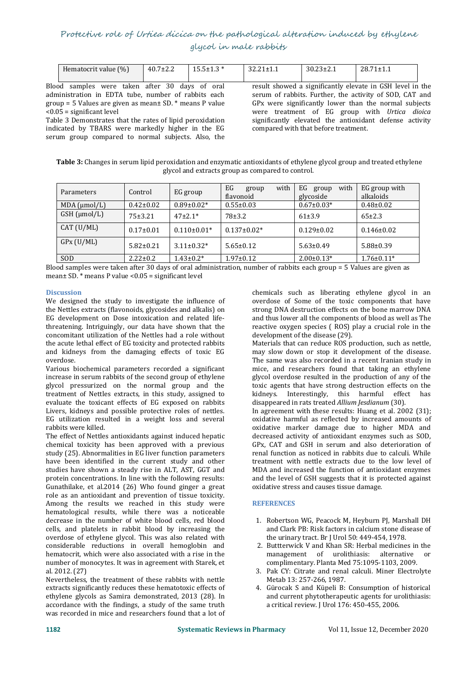## Protective role of Urtiea dicica on the pathological alteration induced by ethylene glycol in male rabbits

| Hematocrit value (%)           | $40.7 \pm 2.2$      |            | $30.23 \pm 2.1$ | $28.71 \pm$                                               |
|--------------------------------|---------------------|------------|-----------------|-----------------------------------------------------------|
| od<br>taken<br>samples<br>were | 30<br>after<br>davs | oral<br>0Ť |                 | result showed a significantly elevate in GSH level in the |

Blood samples were taken after 30 days of oral administration in EDTA tube, number of rabbits each  $\gamma$ group = 5 Values are given as mean $\pm$  SD,  $*$  means P value <0.05 = significant level

Table 3 Demonstrates that the rates of lipid peroxidation indicated by TBARS were markedly higher in the EG serum group compared to normal subjects. Also, the

result showed a significantly elevate in GSH level in the serum of rabbits. Further, the activity of SOD, CAT and GP<sub>x</sub> were significantly lower than the normal subjects were treatment of EG group with *Urtica dioica* significantly elevated the antioxidant defense activity compared with that before treatment.

**Table 3:** Changes in serum lipid peroxidation and enzymatic antioxidants of ethylene glycol group and treated ethylene glycol and extracts group as compared to control.

| Parameters           | Control         | EG group         | with<br>EG<br>group<br>flavonoid | with<br>EG<br>group<br>glycoside | EG group with<br>alkaloids |
|----------------------|-----------------|------------------|----------------------------------|----------------------------------|----------------------------|
| $MDA$ ( $\mu$ mol/L) | $0.42 \pm 0.02$ | $0.89 \pm 0.02*$ | $0.55 \pm 0.03$                  | $0.67 \pm 0.03*$                 | $0.48 \pm 0.02$            |
| $GSH$ ( $\mu$ mol/L) | $75 \pm 3.21$   | $47\pm2.1*$      | 78±3.2                           | $61\pm3.9$                       | $65\pm2.3$                 |
| CAT (U/ML)           | $0.17 \pm 0.01$ | $0.110\pm0.01*$  | $0.137 \pm 0.02*$                | $0.129 \pm 0.02$                 | $0.146 \pm 0.02$           |
| GPX (U/ML)           | $5.82 \pm 0.21$ | $3.11 \pm 0.32*$ | $5.65 \pm 0.12$                  | $5.63 \pm 0.49$                  | $5.88 \pm 0.39$            |
| <b>SOD</b>           | $2.22 \pm 0.2$  | $1.43 \pm 0.2^*$ | $1.97 \pm 0.12$                  | $2.00 \pm 0.13*$                 | $1.76 \pm 0.11*$           |

Blood samples were taken after 30 days of oraladministration, number of rabbits each group = 5 Values are given as mean $\pm$  SD.  $*$  means P value <0.05 = significant level

#### **Discussion**

We designed the study to investigate the influence of the Nettles extracts (flavonoids, glycosides and alkalis) on EG development on Dose intoxication and related life threatening. Intriguingly, our data have shown that the concomitant utilization of the Nettles had a role without the acute lethal effect of EG toxicity and protected rabbits and kidneys from the damaging effects of toxic EG overdose.

Various biochemical parameters recorded a significant increase in serum rabbits of the second group of ethylene glycol pressurized on the normal group and the treatment of Nettles extracts, in this study, assigned to evaluate the toxicant effects of EG exposed on rabbits Livers, kidneys and possible protective roles of nettles. EG utilization resulted in a weight loss and several rabbits were killed.

The effect of Nettles antioxidants against induced hepatic chemical toxicity has been approved with a previous study (25). Abnormalities in EG liver function parameters have been identified in the current study and other studies have shown a steady rise in ALT, AST, GGT and protein concentrations. In line with the following results: Gunathilake, et al.2014 (26) Who found ginger a great role as an antioxidant and prevention of tissue toxicity. Among the results we reached in this study were hematological results, while there was a noticeable decrease in the number of white blood cells, red blood cells, and platelets in rabbit blood by increasing the overdose of ethylene glycol. This was also related with considerable reductions in overall hemoglobin and hematocrit, which were also associated with a rise in the number of monocytes. It was in agreement with Starek, et al. 2012. (27)

Nevertheless, the treatment of these rabbits with nettle extracts significantly reduces these hematotoxic effects of ethylene glycols as Samira demonstrated, 2013 (28). In accordance with the findings, a study of the same truth was recorded in mice and researchers found that a lot of

chemicals such as liberating ethylene glycol in an overdose of Some of the toxic components that have strong DNA destruction effects on the bone marrow DNA and thus lower all the components of blood as well as The reactive oxygen species ( ROS) play a crucial role in the development of the disease (29).

Materials that can reduce ROS production, such as nettle, may slow down or stop it development of the disease. The same was also recorded in a recent Iranian study in mice, and researchers found that taking an ethylene glycol overdose resulted in the production of any of the toxic agents that have strong destruction effects on the kidneys. Interestingly, this harmful effect has disappeared in rats treated *Allium Jesdianum* (30).

In agreement with these results: Huang et al. 2002 (31); oxidative harmful as reflected by increased amounts of oxidative marker damage due to higher MDA and decreased activity of antioxidant enzymes such as SOD. GPx, CAT and GSH in serum and also deterioration of renal function as noticed in rabbits due to calculi. While treatment with nettle extracts due to the low level of MDA and increased the function of antioxidant enzymes and the level of GSH suggests that it is protected against oxidative stress and causes tissue damage.

#### **REFERENCES**

- 1. Robertson WG, Peacock M, Heyburn PJ, Marshall DH and Clark PB: Risk factors in calcium stone disease of the urinary tract. Br J Urol 50: 449-454, 1978.
- 2. Buttterwick V and Khan SR: Herbal medicines in the management of urolithiasis: alternative or management of urolithiasis: alternative complimentary. Planta Med 75:1095-1103, 2009.
- 3. Pak CY: Citrate and renal calculi. Miner Electrolyte Metab 13: 257-266, 1987.
- 4. Gürocak S and Küpeli B: Consumption of historical and current phytotherapeutic agents for urolithiasis: a critical review. J Urol 176: 450-455, 2006.